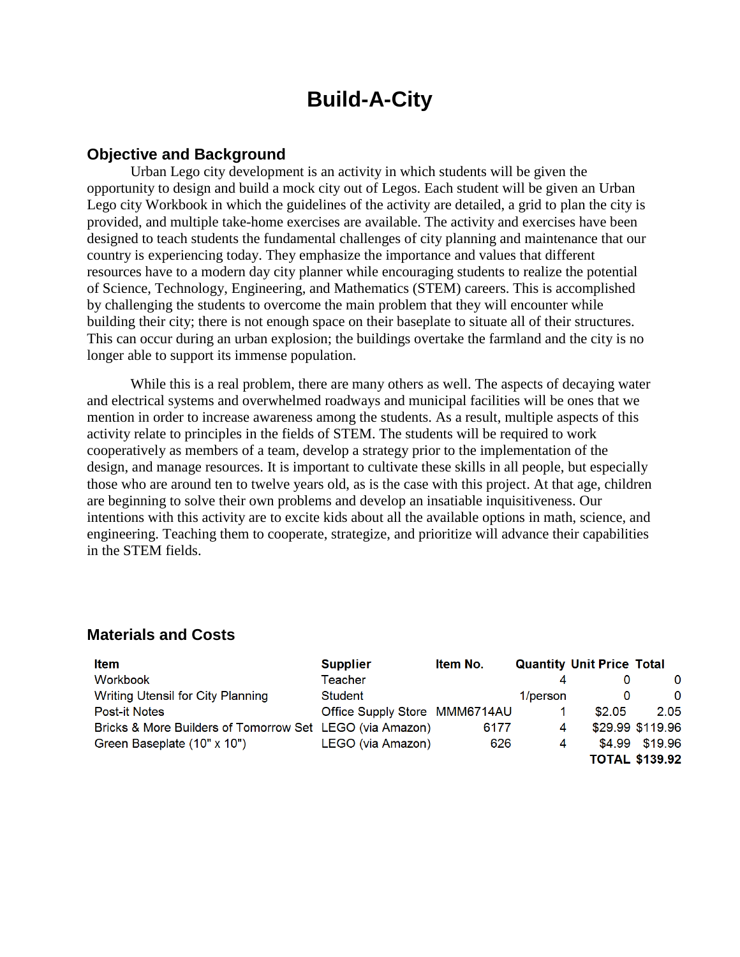# **Build-A-City**

# **Objective and Background**

Urban Lego city development is an activity in which students will be given the opportunity to design and build a mock city out of Legos. Each student will be given an Urban Lego city Workbook in which the guidelines of the activity are detailed, a grid to plan the city is provided, and multiple take-home exercises are available. The activity and exercises have been designed to teach students the fundamental challenges of city planning and maintenance that our country is experiencing today. They emphasize the importance and values that different resources have to a modern day city planner while encouraging students to realize the potential of Science, Technology, Engineering, and Mathematics (STEM) careers. This is accomplished by challenging the students to overcome the main problem that they will encounter while building their city; there is not enough space on their baseplate to situate all of their structures. This can occur during an urban explosion; the buildings overtake the farmland and the city is no longer able to support its immense population.

While this is a real problem, there are many others as well. The aspects of decaying water and electrical systems and overwhelmed roadways and municipal facilities will be ones that we mention in order to increase awareness among the students. As a result, multiple aspects of this activity relate to principles in the fields of STEM. The students will be required to work cooperatively as members of a team, develop a strategy prior to the implementation of the design, and manage resources. It is important to cultivate these skills in all people, but especially those who are around ten to twelve years old, as is the case with this project. At that age, children are beginning to solve their own problems and develop an insatiable inquisitiveness. Our intentions with this activity are to excite kids about all the available options in math, science, and engineering. Teaching them to cooperate, strategize, and prioritize will advance their capabilities in the STEM fields.

| <b>Item</b>                                              | <b>Supplier</b>               | Item No. |          | <b>Quantity Unit Price Total</b> |                       |
|----------------------------------------------------------|-------------------------------|----------|----------|----------------------------------|-----------------------|
| Workbook                                                 | Teacher                       |          |          |                                  | 0                     |
| Writing Utensil for City Planning                        | Student                       |          | 1/person | 0                                | $\Omega$              |
| <b>Post-it Notes</b>                                     | Office Supply Store MMM6714AU |          |          | \$2.05                           | 2.05                  |
| Bricks & More Builders of Tomorrow Set LEGO (via Amazon) |                               | 6177     | 4        |                                  | \$29.99 \$119.96      |
| Green Baseplate (10" x 10")                              | LEGO (via Amazon)             | 626      | 4        | \$4.99                           | \$19.96               |
|                                                          |                               |          |          |                                  | <b>TOTAL \$139.92</b> |

## **Materials and Costs**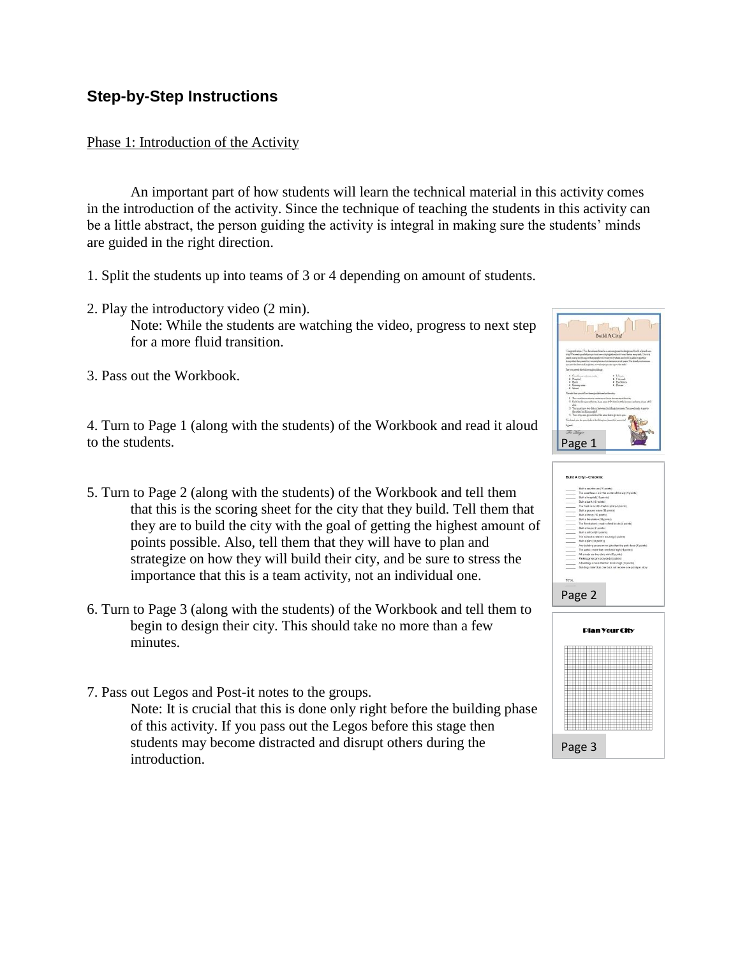# **Step-by-Step Instructions**

#### Phase 1: Introduction of the Activity

An important part of how students will learn the technical material in this activity comes in the introduction of the activity. Since the technique of teaching the students in this activity can be a little abstract, the person guiding the activity is integral in making sure the students' minds are guided in the right direction.

- 1. Split the students up into teams of 3 or 4 depending on amount of students.
- 2. Play the introductory video (2 min). Note: While the students are watching the video, progress to next step for a more fluid transition.
- 3. Pass out the Workbook.

4. Turn to Page 1 (along with the students) of the Workbook and read it aloud to the students.

- 5. Turn to Page 2 (along with the students) of the Workbook and tell them that this is the scoring sheet for the city that they build. Tell them that they are to build the city with the goal of getting the highest amount of points possible. Also, tell them that they will have to plan and strategize on how they will build their city, and be sure to stress the importance that this is a team activity, not an individual one.
- 6. Turn to Page 3 (along with the students) of the Workbook and tell them to begin to design their city. This should take no more than a few minutes.
- 7. Pass out Legos and Post-it notes to the groups. Note: It is crucial that this is done only right before the building phase of this activity. If you pass out the Legos before this stage then students may become distracted and disrupt others during the introduction.



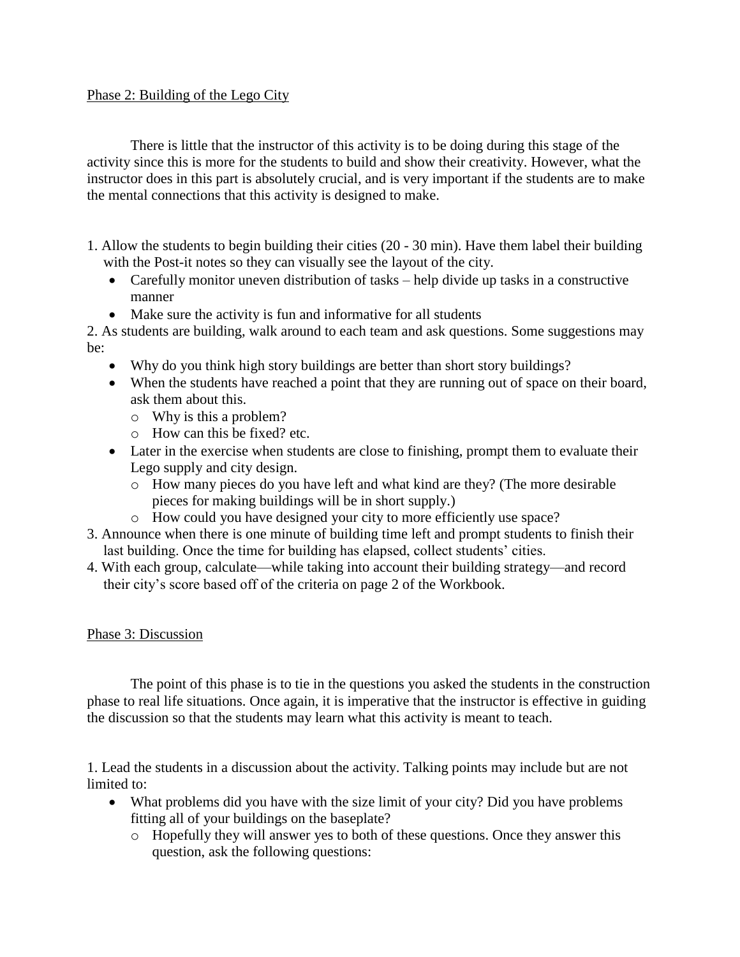### Phase 2: Building of the Lego City

There is little that the instructor of this activity is to be doing during this stage of the activity since this is more for the students to build and show their creativity. However, what the instructor does in this part is absolutely crucial, and is very important if the students are to make the mental connections that this activity is designed to make.

- 1. Allow the students to begin building their cities (20 30 min). Have them label their building with the Post-it notes so they can visually see the layout of the city.
	- Carefully monitor uneven distribution of tasks help divide up tasks in a constructive manner
	- Make sure the activity is fun and informative for all students

2. As students are building, walk around to each team and ask questions. Some suggestions may be:

- Why do you think high story buildings are better than short story buildings?
- When the students have reached a point that they are running out of space on their board, ask them about this.
	- o Why is this a problem?
	- o How can this be fixed? etc.
- Later in the exercise when students are close to finishing, prompt them to evaluate their Lego supply and city design.
	- o How many pieces do you have left and what kind are they? (The more desirable pieces for making buildings will be in short supply.)
	- o How could you have designed your city to more efficiently use space?
- 3. Announce when there is one minute of building time left and prompt students to finish their last building. Once the time for building has elapsed, collect students' cities.
- 4. With each group, calculate—while taking into account their building strategy—and record their city's score based off of the criteria on page 2 of the Workbook.

## Phase 3: Discussion

The point of this phase is to tie in the questions you asked the students in the construction phase to real life situations. Once again, it is imperative that the instructor is effective in guiding the discussion so that the students may learn what this activity is meant to teach.

1. Lead the students in a discussion about the activity. Talking points may include but are not limited to:

- What problems did you have with the size limit of your city? Did you have problems fitting all of your buildings on the baseplate?
	- o Hopefully they will answer yes to both of these questions. Once they answer this question, ask the following questions: